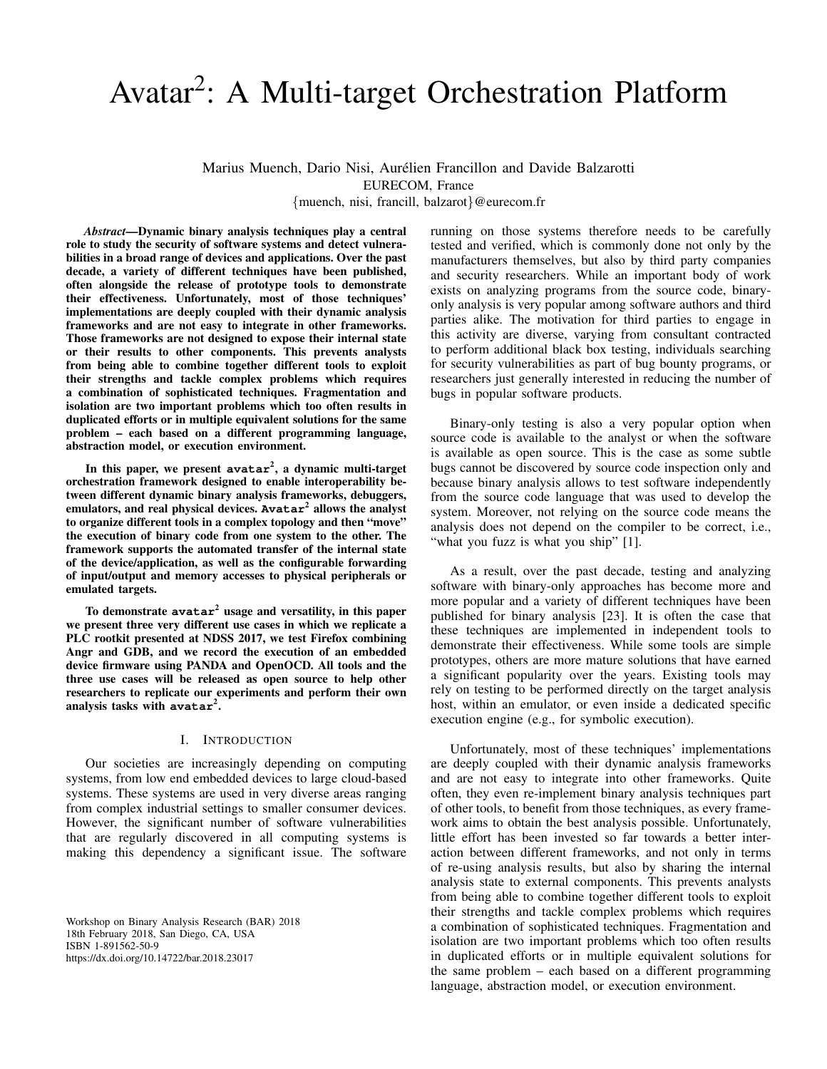# Avatar<sup>2</sup>: A Multi-target Orchestration Platform

Marius Muench, Dario Nisi, Aurélien Francillon and Davide Balzarotti EURECOM, France {muench, nisi, francill, balzarot}@eurecom.fr

*Abstract*—Dynamic binary analysis techniques play a central role to study the security of software systems and detect vulnerabilities in a broad range of devices and applications. Over the past decade, a variety of different techniques have been published, often alongside the release of prototype tools to demonstrate their effectiveness. Unfortunately, most of those techniques' implementations are deeply coupled with their dynamic analysis frameworks and are not easy to integrate in other frameworks. Those frameworks are not designed to expose their internal state or their results to other components. This prevents analysts from being able to combine together different tools to exploit their strengths and tackle complex problems which requires a combination of sophisticated techniques. Fragmentation and isolation are two important problems which too often results in duplicated efforts or in multiple equivalent solutions for the same problem – each based on a different programming language, abstraction model, or execution environment.

In this paper, we present **avatar**<sup>2</sup> , a dynamic multi-target orchestration framework designed to enable interoperability between different dynamic binary analysis frameworks, debuggers, emulators, and real physical devices. **Avatar**<sup>2</sup> allows the analyst to organize different tools in a complex topology and then "move" the execution of binary code from one system to the other. The framework supports the automated transfer of the internal state of the device/application, as well as the configurable forwarding of input/output and memory accesses to physical peripherals or emulated targets.

To demonstrate **avatar**<sup>2</sup> usage and versatility, in this paper we present three very different use cases in which we replicate a PLC rootkit presented at NDSS 2017, we test Firefox combining Angr and GDB, and we record the execution of an embedded device firmware using PANDA and OpenOCD. All tools and the three use cases will be released as open source to help other researchers to replicate our experiments and perform their own analysis tasks with **avatar**<sup>2</sup> .

## I. INTRODUCTION

Our societies are increasingly depending on computing systems, from low end embedded devices to large cloud-based systems. These systems are used in very diverse areas ranging from complex industrial settings to smaller consumer devices. However, the significant number of software vulnerabilities that are regularly discovered in all computing systems is making this dependency a significant issue. The software

Workshop on Binary Analysis Research (BAR) 2018 18th February 2018, San Diego, CA, USA ISBN 1-891562-50-9 https://dx.doi.org/10.14722/bar.2018.23017

running on those systems therefore needs to be carefully tested and verified, which is commonly done not only by the manufacturers themselves, but also by third party companies and security researchers. While an important body of work exists on analyzing programs from the source code, binaryonly analysis is very popular among software authors and third parties alike. The motivation for third parties to engage in this activity are diverse, varying from consultant contracted to perform additional black box testing, individuals searching for security vulnerabilities as part of bug bounty programs, or researchers just generally interested in reducing the number of bugs in popular software products.

Binary-only testing is also a very popular option when source code is available to the analyst or when the software is available as open source. This is the case as some subtle bugs cannot be discovered by source code inspection only and because binary analysis allows to test software independently from the source code language that was used to develop the system. Moreover, not relying on the source code means the analysis does not depend on the compiler to be correct, i.e., "what you fuzz is what you ship" [\[1\]](#page-8-0).

As a result, over the past decade, testing and analyzing software with binary-only approaches has become more and more popular and a variety of different techniques have been published for binary analysis [\[23\]](#page-9-0). It is often the case that these techniques are implemented in independent tools to demonstrate their effectiveness. While some tools are simple prototypes, others are more mature solutions that have earned a significant popularity over the years. Existing tools may rely on testing to be performed directly on the target analysis host, within an emulator, or even inside a dedicated specific execution engine (e.g., for symbolic execution).

Unfortunately, most of these techniques' implementations are deeply coupled with their dynamic analysis frameworks and are not easy to integrate into other frameworks. Quite often, they even re-implement binary analysis techniques part of other tools, to benefit from those techniques, as every framework aims to obtain the best analysis possible. Unfortunately, little effort has been invested so far towards a better interaction between different frameworks, and not only in terms of re-using analysis results, but also by sharing the internal analysis state to external components. This prevents analysts from being able to combine together different tools to exploit their strengths and tackle complex problems which requires a combination of sophisticated techniques. Fragmentation and isolation are two important problems which too often results in duplicated efforts or in multiple equivalent solutions for the same problem – each based on a different programming language, abstraction model, or execution environment.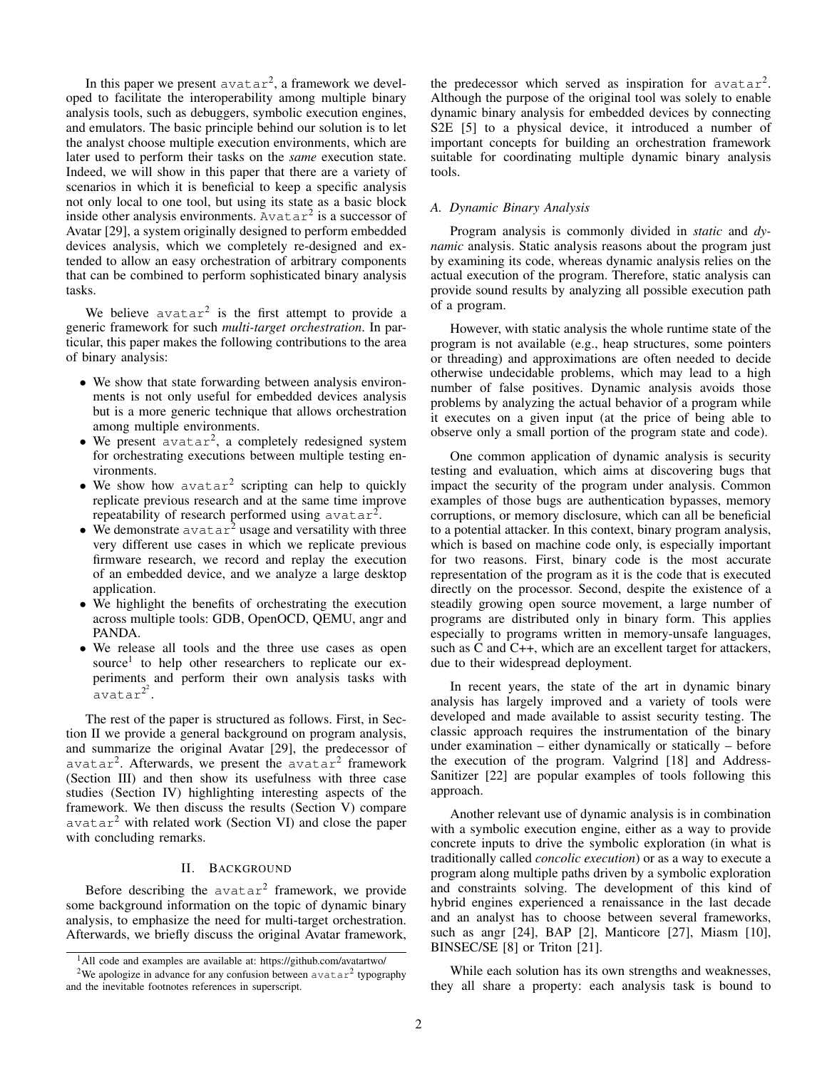In this paper we present  $avatar^2$ , a framework we developed to facilitate the interoperability among multiple binary analysis tools, such as debuggers, symbolic execution engines, and emulators. The basic principle behind our solution is to let the analyst choose multiple execution environments, which are later used to perform their tasks on the *same* execution state. Indeed, we will show in this paper that there are a variety of scenarios in which it is beneficial to keep a specific analysis not only local to one tool, but using its state as a basic block inside other analysis environments.  $A \vee a \vee a x^2$  is a successor of Avatar [\[29\]](#page-9-1), a system originally designed to perform embedded devices analysis, which we completely re-designed and extended to allow an easy orchestration of arbitrary components that can be combined to perform sophisticated binary analysis tasks.

We believe  $avatar^2$  is the first attempt to provide a generic framework for such *multi-target orchestration*. In particular, this paper makes the following contributions to the area of binary analysis:

- We show that state forwarding between analysis environments is not only useful for embedded devices analysis but is a more generic technique that allows orchestration among multiple environments.
- $\bullet$  We present avatar<sup>2</sup>, a completely redesigned system for orchestrating executions between multiple testing environments.
- $\bullet$  We show how avatar<sup>2</sup> scripting can help to quickly replicate previous research and at the same time improve repeatability of research performed using  $\alpha$ vatar<sup>2</sup>.
- We demonstrate  $\alpha$  vatar<sup>2</sup> usage and versatility with three very different use cases in which we replicate previous firmware research, we record and replay the execution of an embedded device, and we analyze a large desktop application.
- We highlight the benefits of orchestrating the execution across multiple tools: GDB, OpenOCD, QEMU, angr and PANDA.
- We release all tools and the three use cases as open source<sup>[1](#page-1-0)</sup> to help other researchers to replicate our experiments and perform their own analysis tasks with  $a$ vatar $^{2^2}$  $^{2^2}$  $^{2^2}$ .

The rest of the paper is structured as follows. First, in Section [II](#page-1-2) we provide a general background on program analysis, and summarize the original Avatar [\[29\]](#page-9-1), the predecessor of avatar<sup>2</sup>. Afterwards, we present the avatar<sup>2</sup> framework (Section [III\)](#page-2-0) and then show its usefulness with three case studies (Section [IV\)](#page-4-0) highlighting interesting aspects of the framework. We then discuss the results (Section [V\)](#page-7-0) compare avatar<sup>2</sup> with related work (Section [VI\)](#page-7-1) and close the paper with concluding remarks.

# II. BACKGROUND

<span id="page-1-2"></span>Before describing the  $avatar^2$  framework, we provide some background information on the topic of dynamic binary analysis, to emphasize the need for multi-target orchestration. Afterwards, we briefly discuss the original Avatar framework,

the predecessor which served as inspiration for  $avatar^2$ . Although the purpose of the original tool was solely to enable dynamic binary analysis for embedded devices by connecting S2E [\[5\]](#page-8-1) to a physical device, it introduced a number of important concepts for building an orchestration framework suitable for coordinating multiple dynamic binary analysis tools.

# <span id="page-1-3"></span>*A. Dynamic Binary Analysis*

Program analysis is commonly divided in *static* and *dynamic* analysis. Static analysis reasons about the program just by examining its code, whereas dynamic analysis relies on the actual execution of the program. Therefore, static analysis can provide sound results by analyzing all possible execution path of a program.

However, with static analysis the whole runtime state of the program is not available (e.g., heap structures, some pointers or threading) and approximations are often needed to decide otherwise undecidable problems, which may lead to a high number of false positives. Dynamic analysis avoids those problems by analyzing the actual behavior of a program while it executes on a given input (at the price of being able to observe only a small portion of the program state and code).

One common application of dynamic analysis is security testing and evaluation, which aims at discovering bugs that impact the security of the program under analysis. Common examples of those bugs are authentication bypasses, memory corruptions, or memory disclosure, which can all be beneficial to a potential attacker. In this context, binary program analysis, which is based on machine code only, is especially important for two reasons. First, binary code is the most accurate representation of the program as it is the code that is executed directly on the processor. Second, despite the existence of a steadily growing open source movement, a large number of programs are distributed only in binary form. This applies especially to programs written in memory-unsafe languages, such as C and C++, which are an excellent target for attackers, due to their widespread deployment.

In recent years, the state of the art in dynamic binary analysis has largely improved and a variety of tools were developed and made available to assist security testing. The classic approach requires the instrumentation of the binary under examination – either dynamically or statically – before the execution of the program. Valgrind [\[18\]](#page-9-2) and Address-Sanitizer [\[22\]](#page-9-3) are popular examples of tools following this approach.

Another relevant use of dynamic analysis is in combination with a symbolic execution engine, either as a way to provide concrete inputs to drive the symbolic exploration (in what is traditionally called *concolic execution*) or as a way to execute a program along multiple paths driven by a symbolic exploration and constraints solving. The development of this kind of hybrid engines experienced a renaissance in the last decade and an analyst has to choose between several frameworks, such as angr [\[24\]](#page-9-4), BAP [\[2\]](#page-8-2), Manticore [\[27\]](#page-9-5), Miasm [\[10\]](#page-8-3), BINSEC/SE [\[8\]](#page-8-4) or Triton [\[21\]](#page-9-6).

While each solution has its own strengths and weaknesses, they all share a property: each analysis task is bound to

<span id="page-1-0"></span><sup>&</sup>lt;sup>1</sup>All code and examples are available at: <https://github.com/avatartwo/>

<span id="page-1-1"></span><sup>&</sup>lt;sup>2</sup>We apologize in advance for any confusion between  $\alpha$ vatar<sup>2</sup> typography and the inevitable footnotes references in superscript.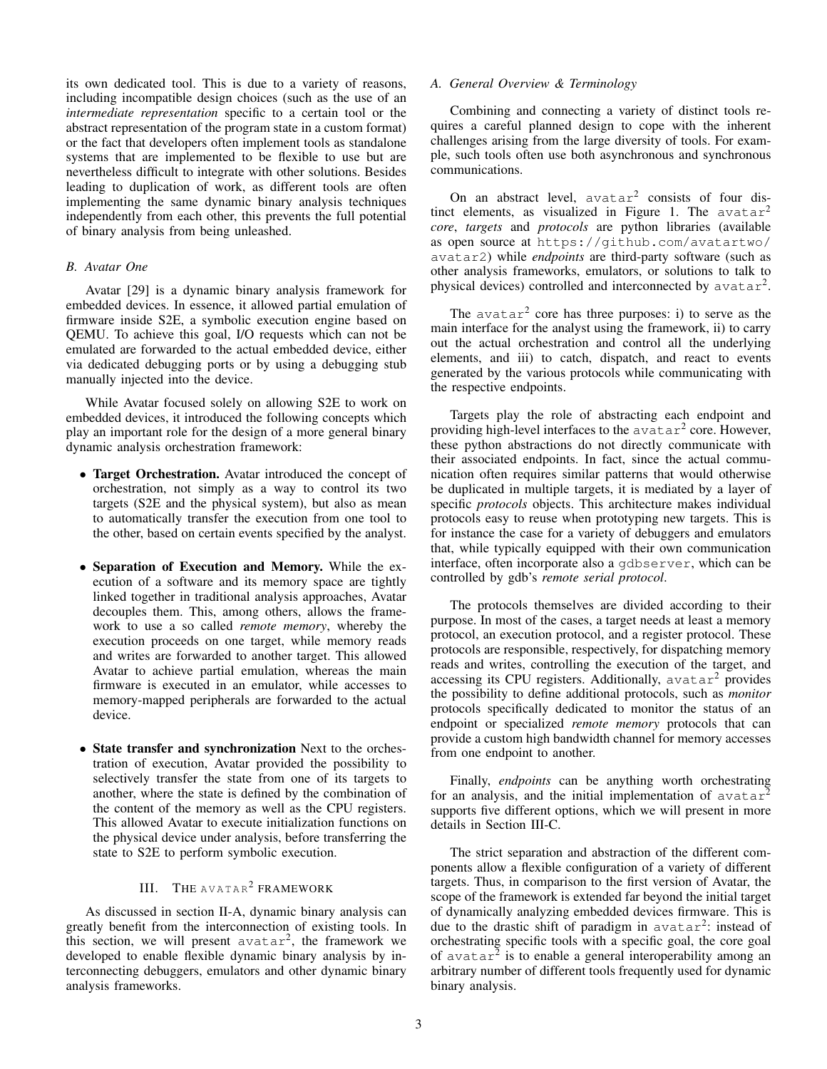its own dedicated tool. This is due to a variety of reasons, including incompatible design choices (such as the use of an *intermediate representation* specific to a certain tool or the abstract representation of the program state in a custom format) or the fact that developers often implement tools as standalone systems that are implemented to be flexible to use but are nevertheless difficult to integrate with other solutions. Besides leading to duplication of work, as different tools are often implementing the same dynamic binary analysis techniques independently from each other, this prevents the full potential of binary analysis from being unleashed.

# *B. Avatar One*

Avatar [\[29\]](#page-9-1) is a dynamic binary analysis framework for embedded devices. In essence, it allowed partial emulation of firmware inside S2E, a symbolic execution engine based on QEMU. To achieve this goal, I/O requests which can not be emulated are forwarded to the actual embedded device, either via dedicated debugging ports or by using a debugging stub manually injected into the device.

While Avatar focused solely on allowing S2E to work on embedded devices, it introduced the following concepts which play an important role for the design of a more general binary dynamic analysis orchestration framework:

- Target Orchestration. Avatar introduced the concept of orchestration, not simply as a way to control its two targets (S2E and the physical system), but also as mean to automatically transfer the execution from one tool to the other, based on certain events specified by the analyst.
- Separation of Execution and Memory. While the execution of a software and its memory space are tightly linked together in traditional analysis approaches, Avatar decouples them. This, among others, allows the framework to use a so called *remote memory*, whereby the execution proceeds on one target, while memory reads and writes are forwarded to another target. This allowed Avatar to achieve partial emulation, whereas the main firmware is executed in an emulator, while accesses to memory-mapped peripherals are forwarded to the actual device.
- State transfer and synchronization Next to the orchestration of execution, Avatar provided the possibility to selectively transfer the state from one of its targets to another, where the state is defined by the combination of the content of the memory as well as the CPU registers. This allowed Avatar to execute initialization functions on the physical device under analysis, before transferring the state to S2E to perform symbolic execution.

# III. THE AVATAR<sup>2</sup> FRAMEWORK

<span id="page-2-0"></span>As discussed in section [II-A,](#page-1-3) dynamic binary analysis can greatly benefit from the interconnection of existing tools. In this section, we will present  $avatar^2$ , the framework we developed to enable flexible dynamic binary analysis by interconnecting debuggers, emulators and other dynamic binary analysis frameworks.

# *A. General Overview & Terminology*

Combining and connecting a variety of distinct tools requires a careful planned design to cope with the inherent challenges arising from the large diversity of tools. For example, such tools often use both asynchronous and synchronous communications.

On an abstract level,  $avatar^2$  consists of four dis-tinct elements, as visualized in Figure [1.](#page-3-0) The  $avatar^2$ *core*, *targets* and *protocols* are python libraries (available as open source at [https://github.com/avatartwo/](https://github.com/avatartwo/avatar2) [avatar2](https://github.com/avatartwo/avatar2)) while *endpoints* are third-party software (such as other analysis frameworks, emulators, or solutions to talk to physical devices) controlled and interconnected by  $avatar^2$ .

The  $avatar<sup>2</sup>$  core has three purposes: i) to serve as the main interface for the analyst using the framework, ii) to carry out the actual orchestration and control all the underlying elements, and iii) to catch, dispatch, and react to events generated by the various protocols while communicating with the respective endpoints.

Targets play the role of abstracting each endpoint and providing high-level interfaces to the  $\alpha$ vatar<sup>2</sup> core. However, these python abstractions do not directly communicate with their associated endpoints. In fact, since the actual communication often requires similar patterns that would otherwise be duplicated in multiple targets, it is mediated by a layer of specific *protocols* objects. This architecture makes individual protocols easy to reuse when prototyping new targets. This is for instance the case for a variety of debuggers and emulators that, while typically equipped with their own communication interface, often incorporate also a gdbserver, which can be controlled by gdb's *remote serial protocol*.

The protocols themselves are divided according to their purpose. In most of the cases, a target needs at least a memory protocol, an execution protocol, and a register protocol. These protocols are responsible, respectively, for dispatching memory reads and writes, controlling the execution of the target, and accessing its CPU registers. Additionally,  $avatar^2$  provides the possibility to define additional protocols, such as *monitor* protocols specifically dedicated to monitor the status of an endpoint or specialized *remote memory* protocols that can provide a custom high bandwidth channel for memory accesses from one endpoint to another.

Finally, *endpoints* can be anything worth orchestrating for an analysis, and the initial implementation of  $avatar^2$ supports five different options, which we will present in more details in Section [III-C.](#page-3-1)

The strict separation and abstraction of the different components allow a flexible configuration of a variety of different targets. Thus, in comparison to the first version of Avatar, the scope of the framework is extended far beyond the initial target of dynamically analyzing embedded devices firmware. This is due to the drastic shift of paradigm in  $a$ vatar<sup>2</sup>: instead of orchestrating specific tools with a specific goal, the core goal of avatar<sup>2</sup> is to enable a general interoperability among an arbitrary number of different tools frequently used for dynamic binary analysis.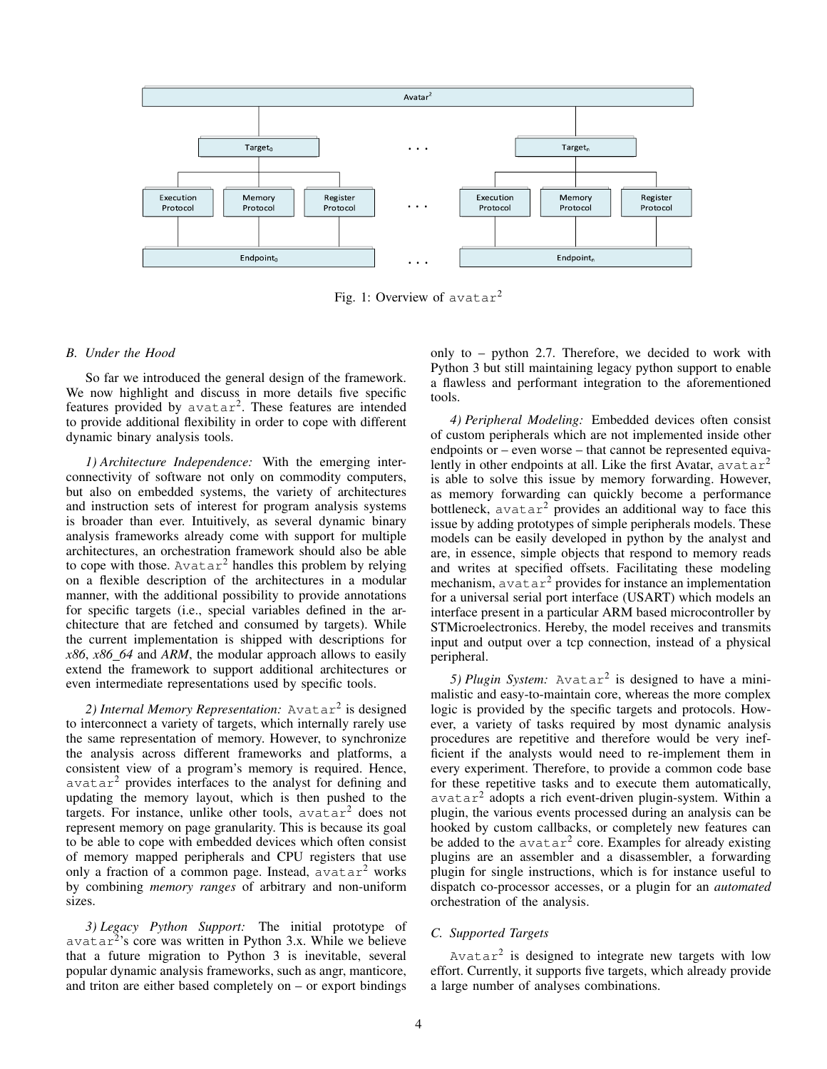<span id="page-3-0"></span>

Fig. 1: Overview of avatar<sup>2</sup>

#### *B. Under the Hood*

So far we introduced the general design of the framework. We now highlight and discuss in more details five specific features provided by  $avatar^2$ . These features are intended to provide additional flexibility in order to cope with different dynamic binary analysis tools.

*1) Architecture Independence:* With the emerging interconnectivity of software not only on commodity computers, but also on embedded systems, the variety of architectures and instruction sets of interest for program analysis systems is broader than ever. Intuitively, as several dynamic binary analysis frameworks already come with support for multiple architectures, an orchestration framework should also be able to cope with those. Avatar<sup>2</sup> handles this problem by relying on a flexible description of the architectures in a modular manner, with the additional possibility to provide annotations for specific targets (i.e., special variables defined in the architecture that are fetched and consumed by targets). While the current implementation is shipped with descriptions for *x86*, *x86 64* and *ARM*, the modular approach allows to easily extend the framework to support additional architectures or even intermediate representations used by specific tools.

2) Internal Memory Representation: Avatar<sup>2</sup> is designed to interconnect a variety of targets, which internally rarely use the same representation of memory. However, to synchronize the analysis across different frameworks and platforms, a consistent view of a program's memory is required. Hence,  $avatar<sup>2</sup>$  provides interfaces to the analyst for defining and updating the memory layout, which is then pushed to the targets. For instance, unlike other tools,  $avatar^2$  does not represent memory on page granularity. This is because its goal to be able to cope with embedded devices which often consist of memory mapped peripherals and CPU registers that use only a fraction of a common page. Instead,  $avatar<sup>2</sup>$  works by combining *memory ranges* of arbitrary and non-uniform sizes.

*3) Legacy Python Support:* The initial prototype of avatar<sup>2</sup> 's core was written in Python 3.x. While we believe that a future migration to Python 3 is inevitable, several popular dynamic analysis frameworks, such as angr, manticore, and triton are either based completely on  $-$  or export bindings only to – python 2.7. Therefore, we decided to work with Python 3 but still maintaining legacy python support to enable a flawless and performant integration to the aforementioned tools.

*4) Peripheral Modeling:* Embedded devices often consist of custom peripherals which are not implemented inside other endpoints or – even worse – that cannot be represented equivalently in other endpoints at all. Like the first Avatar,  $a\text{v}a\text{t}ar^2$ is able to solve this issue by memory forwarding. However, as memory forwarding can quickly become a performance bottleneck,  $\alpha$ vatar<sup>2</sup> provides an additional way to face this issue by adding prototypes of simple peripherals models. These models can be easily developed in python by the analyst and are, in essence, simple objects that respond to memory reads and writes at specified offsets. Facilitating these modeling mechanism,  $avatar^2$  provides for instance an implementation for a universal serial port interface (USART) which models an interface present in a particular ARM based microcontroller by STMicroelectronics. Hereby, the model receives and transmits input and output over a tcp connection, instead of a physical peripheral.

5) Plugin System: Avatar<sup>2</sup> is designed to have a minimalistic and easy-to-maintain core, whereas the more complex logic is provided by the specific targets and protocols. However, a variety of tasks required by most dynamic analysis procedures are repetitive and therefore would be very inefficient if the analysts would need to re-implement them in every experiment. Therefore, to provide a common code base for these repetitive tasks and to execute them automatically, avatar<sup>2</sup> adopts a rich event-driven plugin-system. Within a plugin, the various events processed during an analysis can be hooked by custom callbacks, or completely new features can be added to the  $avatar^2$  core. Examples for already existing plugins are an assembler and a disassembler, a forwarding plugin for single instructions, which is for instance useful to dispatch co-processor accesses, or a plugin for an *automated* orchestration of the analysis.

# <span id="page-3-1"></span>*C. Supported Targets*

Avatar<sup>2</sup> is designed to integrate new targets with low effort. Currently, it supports five targets, which already provide a large number of analyses combinations.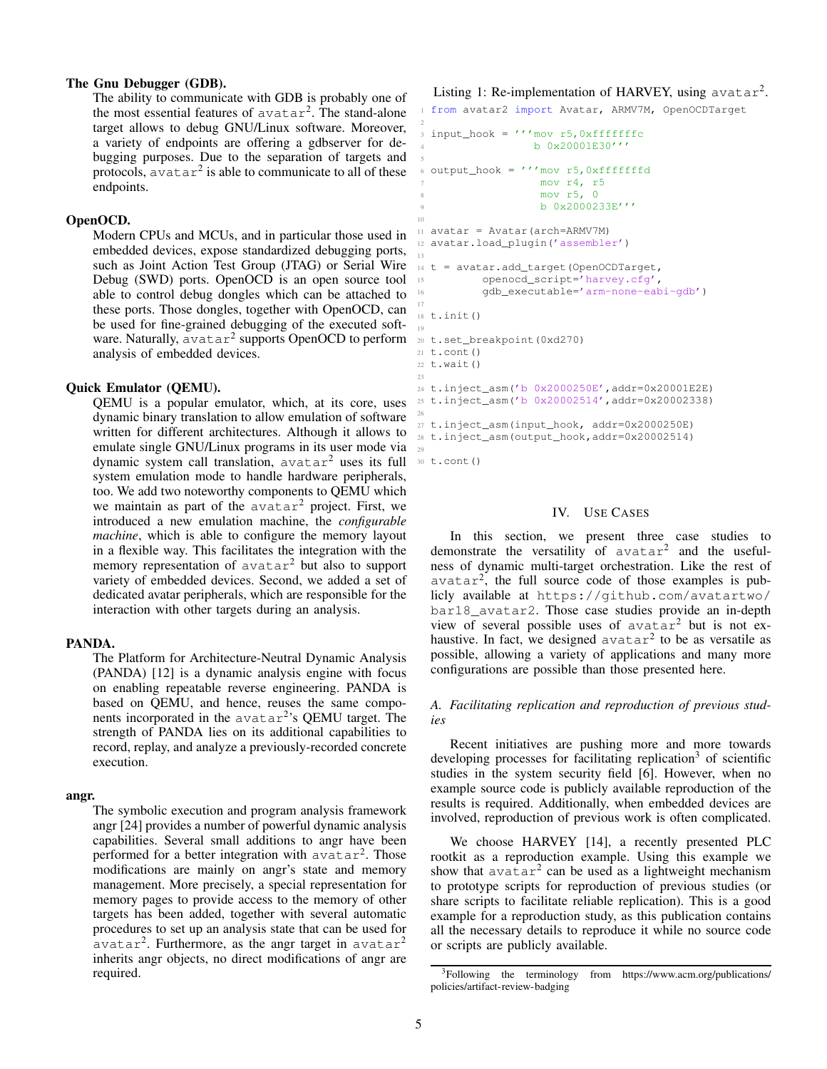# The Gnu Debugger (GDB).

The ability to communicate with GDB is probably one of the most essential features of  $avatar^2$ . The stand-alone target allows to debug GNU/Linux software. Moreover, a variety of endpoints are offering a gdbserver for debugging purposes. Due to the separation of targets and protocols,  $\alpha$ vatar<sup>2</sup> is able to communicate to all of these endpoints.

# OpenOCD.

Modern CPUs and MCUs, and in particular those used in embedded devices, expose standardized debugging ports, such as Joint Action Test Group (JTAG) or Serial Wire Debug (SWD) ports. OpenOCD is an open source tool able to control debug dongles which can be attached to these ports. Those dongles, together with OpenOCD, can be used for fine-grained debugging of the executed software. Naturally, avatar<sup>2</sup> supports OpenOCD to perform analysis of embedded devices.

#### Quick Emulator (QEMU).

QEMU is a popular emulator, which, at its core, uses dynamic binary translation to allow emulation of software written for different architectures. Although it allows to emulate single GNU/Linux programs in its user mode via dynamic system call translation, avatar<sup>2</sup> uses its full system emulation mode to handle hardware peripherals, too. We add two noteworthy components to QEMU which we maintain as part of the  $avatar^2$  project. First, we introduced a new emulation machine, the *configurable machine*, which is able to configure the memory layout in a flexible way. This facilitates the integration with the memory representation of  $avatar^2$  but also to support variety of embedded devices. Second, we added a set of dedicated avatar peripherals, which are responsible for the interaction with other targets during an analysis.

# PANDA.

The Platform for Architecture-Neutral Dynamic Analysis (PANDA) [\[12\]](#page-8-5) is a dynamic analysis engine with focus on enabling repeatable reverse engineering. PANDA is based on QEMU, and hence, reuses the same components incorporated in the avatar<sup>2</sup>'s QEMU target. The strength of PANDA lies on its additional capabilities to record, replay, and analyze a previously-recorded concrete execution.

#### angr.

The symbolic execution and program analysis framework angr [\[24\]](#page-9-4) provides a number of powerful dynamic analysis capabilities. Several small additions to angr have been performed for a better integration with  $\alpha$ vatar<sup>2</sup>. Those modifications are mainly on angr's state and memory management. More precisely, a special representation for memory pages to provide access to the memory of other targets has been added, together with several automatic procedures to set up an analysis state that can be used for  $a$ vatar<sup>2</sup>. Furthermore, as the angr target in avatar<sup>2</sup> inherits angr objects, no direct modifications of angr are required.

# <span id="page-4-2"></span>Listing 1: Re-implementation of HARVEY, using  $avatar^2$ .

from avatar2 import Avatar, ARMV7M, OpenOCDTarget

```
input\_hook = ''''mov r5,0xfffffffc4 b 0x20001E30'''
  output_hook = '''mov r5,0xfffffffd
                    7 mov r4, r5
                    8 mov r5, 0
                    b 0x2000233E'''
11 avatar = Avatar(arch=ARMV7M)
12 avatar.load_plugin('assembler')
13
14 t = avatar.add_target(OpenOCDTarget,
15 openocd_script='harvey.cfg',
           16 gdb_executable='arm-none-eabi-gdb')
17
18 t.init()
19
20 t.set_breakpoint(0xd270)
21 t.cont()
22 t.wait()2324 t.inject_asm('b 0x2000250E',addr=0x20001E2E)
25 t.inject_asm('b 0x20002514',addr=0x20002338)
27 t.inject_asm(input_hook, addr=0x2000250E)
28 t.inject_asm(output_hook,addr=0x20002514)
30 t.cont()
```
5

10

26

29

# IV. USE CASES

<span id="page-4-0"></span>In this section, we present three case studies to demonstrate the versatility of  $avatar^2$  and the usefulness of dynamic multi-target orchestration. Like the rest of  $avatar<sup>2</sup>$ , the full source code of those examples is publicly available at [https://github.com/avatartwo/](https://github.com/avatartwo/bar18_avatar2) [bar18\\_avatar2](https://github.com/avatartwo/bar18_avatar2). Those case studies provide an in-depth view of several possible uses of avatar<sup>2</sup> but is not exhaustive. In fact, we designed  $avatar^2$  to be as versatile as possible, allowing a variety of applications and many more configurations are possible than those presented here.

# *A. Facilitating replication and reproduction of previous studies*

Recent initiatives are pushing more and more towards developing processes for facilitating replication<sup>[3](#page-4-1)</sup> of scientific studies in the system security field [\[6\]](#page-8-6). However, when no example source code is publicly available reproduction of the results is required. Additionally, when embedded devices are involved, reproduction of previous work is often complicated.

We choose HARVEY [\[14\]](#page-8-7), a recently presented PLC rootkit as a reproduction example. Using this example we show that  $\arctan^2$  can be used as a lightweight mechanism to prototype scripts for reproduction of previous studies (or share scripts to facilitate reliable replication). This is a good example for a reproduction study, as this publication contains all the necessary details to reproduce it while no source code or scripts are publicly available.

<span id="page-4-1"></span><sup>3</sup>Following the terminology from [https://www.acm.org/publications/](https://www.acm.org/publications/policies/artifact-review-badging) [policies/artifact-review-badging](https://www.acm.org/publications/policies/artifact-review-badging)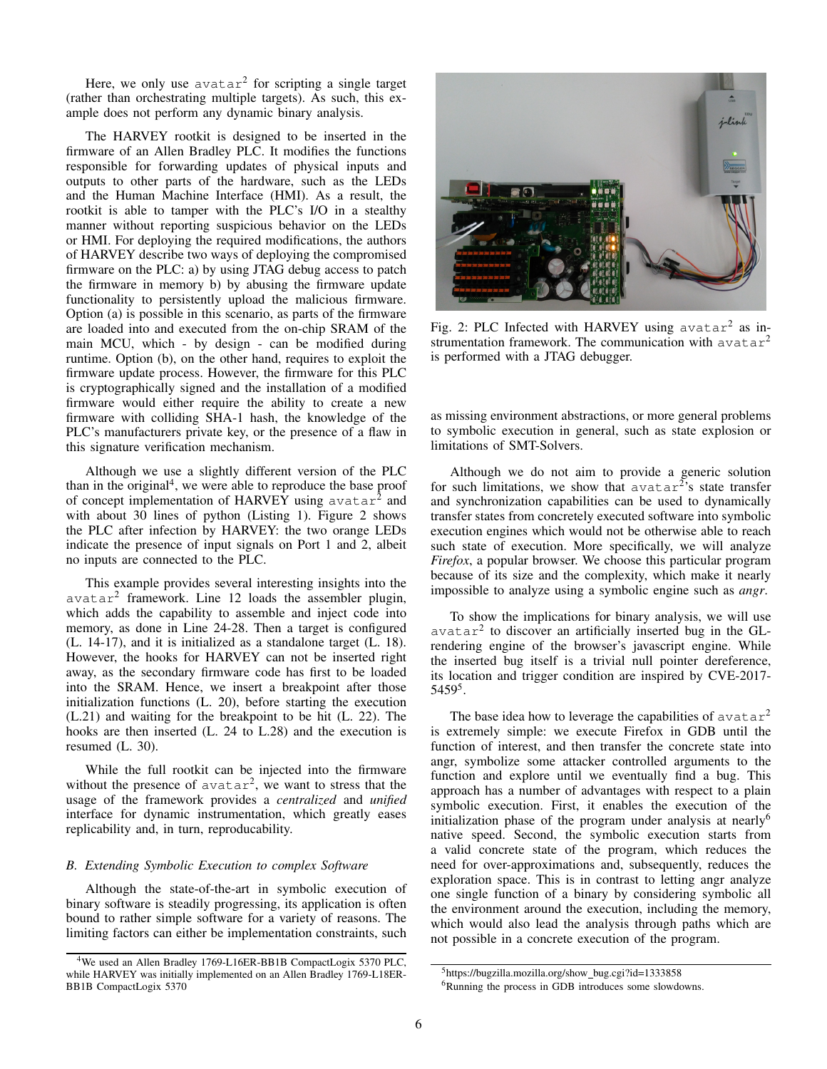Here, we only use  $avatar^2$  for scripting a single target (rather than orchestrating multiple targets). As such, this example does not perform any dynamic binary analysis.

The HARVEY rootkit is designed to be inserted in the firmware of an Allen Bradley PLC. It modifies the functions responsible for forwarding updates of physical inputs and outputs to other parts of the hardware, such as the LEDs and the Human Machine Interface (HMI). As a result, the rootkit is able to tamper with the PLC's I/O in a stealthy manner without reporting suspicious behavior on the LEDs or HMI. For deploying the required modifications, the authors of HARVEY describe two ways of deploying the compromised firmware on the PLC: a) by using JTAG debug access to patch the firmware in memory b) by abusing the firmware update functionality to persistently upload the malicious firmware. Option (a) is possible in this scenario, as parts of the firmware are loaded into and executed from the on-chip SRAM of the main MCU, which - by design - can be modified during runtime. Option (b), on the other hand, requires to exploit the firmware update process. However, the firmware for this PLC is cryptographically signed and the installation of a modified firmware would either require the ability to create a new firmware with colliding SHA-1 hash, the knowledge of the PLC's manufacturers private key, or the presence of a flaw in this signature verification mechanism.

Although we use a slightly different version of the PLC than in the original<sup>[4](#page-5-0)</sup>, we were able to reproduce the base proof of concept implementation of HARVEY using  $\alpha$ vatar<sup>2</sup> and with about 30 lines of python (Listing [1\)](#page-4-2). Figure [2](#page-5-1) shows the PLC after infection by HARVEY: the two orange LEDs indicate the presence of input signals on Port 1 and 2, albeit no inputs are connected to the PLC.

This example provides several interesting insights into the avatar<sup>2</sup> framework. Line 12 loads the assembler plugin, which adds the capability to assemble and inject code into memory, as done in Line 24-28. Then a target is configured (L. 14-17), and it is initialized as a standalone target (L. 18). However, the hooks for HARVEY can not be inserted right away, as the secondary firmware code has first to be loaded into the SRAM. Hence, we insert a breakpoint after those initialization functions (L. 20), before starting the execution (L.21) and waiting for the breakpoint to be hit (L. 22). The hooks are then inserted (L. 24 to L.28) and the execution is resumed (L. 30).

While the full rootkit can be injected into the firmware without the presence of  $avatar^2$ , we want to stress that the usage of the framework provides a *centralized* and *unified* interface for dynamic instrumentation, which greatly eases replicability and, in turn, reproducability.

## *B. Extending Symbolic Execution to complex Software*

Although the state-of-the-art in symbolic execution of binary software is steadily progressing, its application is often bound to rather simple software for a variety of reasons. The limiting factors can either be implementation constraints, such

<span id="page-5-1"></span>

Fig. 2: PLC Infected with HARVEY using  $avatar^2$  as instrumentation framework. The communication with  $avatar^2$ is performed with a JTAG debugger.

as missing environment abstractions, or more general problems to symbolic execution in general, such as state explosion or limitations of SMT-Solvers.

Although we do not aim to provide a generic solution for such limitations, we show that  $\alpha$  avatar<sup>2</sup>'s state transfer and synchronization capabilities can be used to dynamically transfer states from concretely executed software into symbolic execution engines which would not be otherwise able to reach such state of execution. More specifically, we will analyze *Firefox*, a popular browser. We choose this particular program because of its size and the complexity, which make it nearly impossible to analyze using a symbolic engine such as *angr*.

To show the implications for binary analysis, we will use  $avatar<sup>2</sup>$  to discover an artificially inserted bug in the GLrendering engine of the browser's javascript engine. While the inserted bug itself is a trivial null pointer dereference, its location and trigger condition are inspired by CVE-2017- 5459[5](#page-5-2) .

The base idea how to leverage the capabilities of  $avatar^2$ is extremely simple: we execute Firefox in GDB until the function of interest, and then transfer the concrete state into angr, symbolize some attacker controlled arguments to the function and explore until we eventually find a bug. This approach has a number of advantages with respect to a plain symbolic execution. First, it enables the execution of the initialization phase of the program under analysis at nearly<sup>[6](#page-5-3)</sup> native speed. Second, the symbolic execution starts from a valid concrete state of the program, which reduces the need for over-approximations and, subsequently, reduces the exploration space. This is in contrast to letting angr analyze one single function of a binary by considering symbolic all the environment around the execution, including the memory, which would also lead the analysis through paths which are not possible in a concrete execution of the program.

<span id="page-5-0"></span><sup>4</sup>We used an Allen Bradley 1769-L16ER-BB1B CompactLogix 5370 PLC, while HARVEY was initially implemented on an Allen Bradley 1769-L18ER-BB1B CompactLogix 5370

<span id="page-5-3"></span><span id="page-5-2"></span> $5$ [https://bugzilla.mozilla.org/show](https://bugzilla.mozilla.org/show_bug.cgi?id=1333858)\_bug.cgi?id=1333858 <sup>6</sup>Running the process in GDB introduces some slowdowns.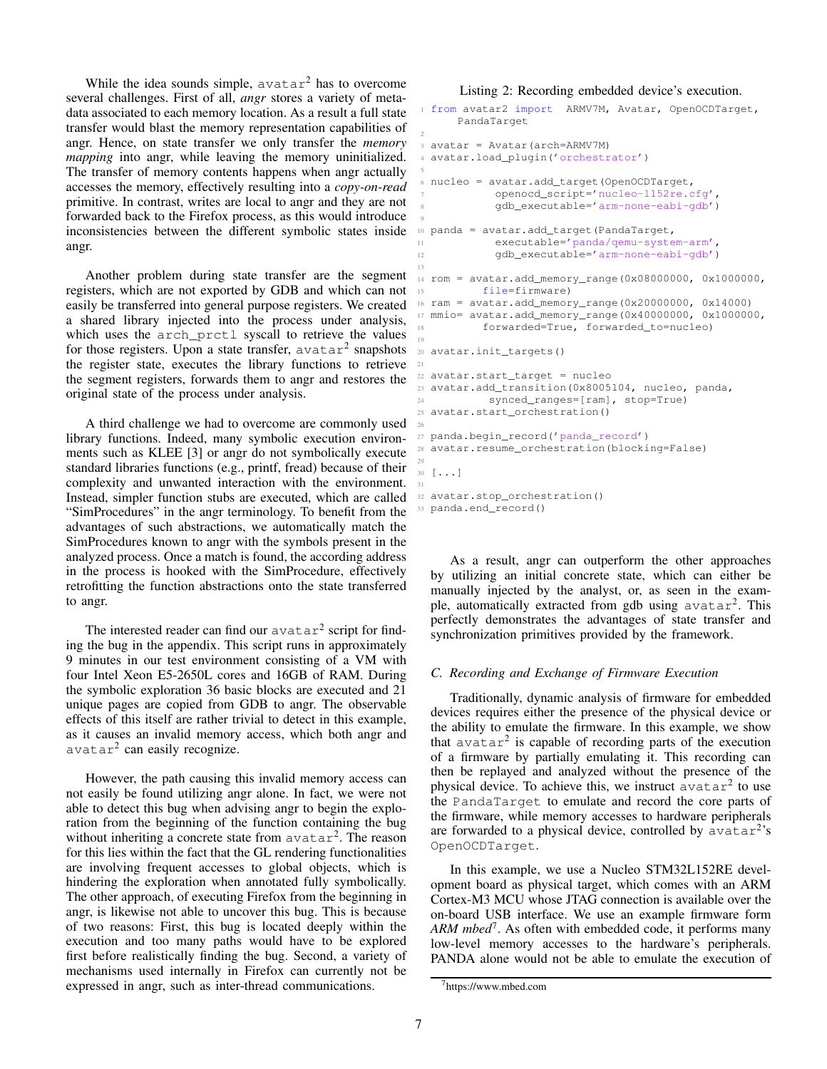While the idea sounds simple,  $avatar^2$  has to overcome several challenges. First of all, *angr* stores a variety of metadata associated to each memory location. As a result a full state transfer would blast the memory representation capabilities of angr. Hence, on state transfer we only transfer the *memory mapping* into angr, while leaving the memory uninitialized. The transfer of memory contents happens when angr actually accesses the memory, effectively resulting into a *copy-on-read* primitive. In contrast, writes are local to angr and they are not forwarded back to the Firefox process, as this would introduce inconsistencies between the different symbolic states inside angr.

Another problem during state transfer are the segment registers, which are not exported by GDB and which can not easily be transferred into general purpose registers. We created a shared library injected into the process under analysis, which uses the arch\_prctl syscall to retrieve the values for those registers. Upon a state transfer,  $a \text{v} a \text{t} a r^2$  snapshots the register state, executes the library functions to retrieve the segment registers, forwards them to angr and restores the original state of the process under analysis.

A third challenge we had to overcome are commonly used library functions. Indeed, many symbolic execution environments such as KLEE [\[3\]](#page-8-8) or angr do not symbolically execute standard libraries functions (e.g., printf, fread) because of their complexity and unwanted interaction with the environment. Instead, simpler function stubs are executed, which are called "SimProcedures" in the angr terminology. To benefit from the advantages of such abstractions, we automatically match the SimProcedures known to angr with the symbols present in the analyzed process. Once a match is found, the according address in the process is hooked with the SimProcedure, effectively retrofitting the function abstractions onto the state transferred to angr.

The interested reader can find our  $avatar^2$  script for finding the bug in the appendix. This script runs in approximately 9 minutes in our test environment consisting of a VM with four Intel Xeon E5-2650L cores and 16GB of RAM. During the symbolic exploration 36 basic blocks are executed and 21 unique pages are copied from GDB to angr. The observable effects of this itself are rather trivial to detect in this example, as it causes an invalid memory access, which both angr and avatar<sup>2</sup> can easily recognize.

However, the path causing this invalid memory access can not easily be found utilizing angr alone. In fact, we were not able to detect this bug when advising angr to begin the exploration from the beginning of the function containing the bug without inheriting a concrete state from  $\alpha$ vatar<sup>2</sup>. The reason for this lies within the fact that the GL rendering functionalities are involving frequent accesses to global objects, which is hindering the exploration when annotated fully symbolically. The other approach, of executing Firefox from the beginning in angr, is likewise not able to uncover this bug. This is because of two reasons: First, this bug is located deeply within the execution and too many paths would have to be explored first before realistically finding the bug. Second, a variety of mechanisms used internally in Firefox can currently not be expressed in angr, such as inter-thread communications.

#### <span id="page-6-1"></span>Listing 2: Recording embedded device's execution.

```
1 from avatar2 import ARMV7M, Avatar, OpenOCDTarget,
      PandaTarget
3 avatar = Avatar(arch=ARMV7M)
4 avatar.load_plugin('orchestrator')
 5
6 nucleo = avatar.add_target(OpenOCDTarget,
            7 openocd_script='nucleo-l152re.cfg',
            8 gdb_executable='arm-none-eabi-gdb')
 9
10 panda = avatar.add_target(PandaTarget,
            executable='panda/qemu-system-arm',
12 gdb executable='arm-none-eabi-gdb')
13
14 rom = avatar.add_memory_range(0x08000000, 0x1000000,
15 file=firmware)
16 ram = avatar.add_memory_range(0x20000000, 0x14000)
17 mmio= avatar.add_memory_range(0x40000000, 0x1000000,
18 forwarded=True, forwarded_to=nucleo)
19
20 avatar.init_targets()
21
22 avatar.start_target = nucleo
23 avatar.add_transition(0x8005104, nucleo, panda,
24 synced_ranges=[ram], stop=True)
25 avatar.start_orchestration()
26
27 panda.begin_record('panda_record')
28 avatar.resume_orchestration(blocking=False)
29
30 \left[\; \ldots \;\right]31
32 avatar.stop_orchestration()
33 panda.end_record()
```
As a result, angr can outperform the other approaches by utilizing an initial concrete state, which can either be manually injected by the analyst, or, as seen in the example, automatically extracted from gdb using avatar<sup>2</sup>. This perfectly demonstrates the advantages of state transfer and synchronization primitives provided by the framework.

#### *C. Recording and Exchange of Firmware Execution*

Traditionally, dynamic analysis of firmware for embedded devices requires either the presence of the physical device or the ability to emulate the firmware. In this example, we show that  $avatar^2$  is capable of recording parts of the execution of a firmware by partially emulating it. This recording can then be replayed and analyzed without the presence of the physical device. To achieve this, we instruct  $a$ vatar<sup>2</sup> to use the PandaTarget to emulate and record the core parts of the firmware, while memory accesses to hardware peripherals are forwarded to a physical device, controlled by  $\alpha$ vatar<sup>2</sup>'s OpenOCDTarget.

In this example, we use a Nucleo STM32L152RE development board as physical target, which comes with an ARM Cortex-M3 MCU whose JTAG connection is available over the on-board USB interface. We use an example firmware form *ARM mbed*[7](#page-6-0) . As often with embedded code, it performs many low-level memory accesses to the hardware's peripherals. PANDA alone would not be able to emulate the execution of

<span id="page-6-0"></span><sup>7</sup><https://www.mbed.com>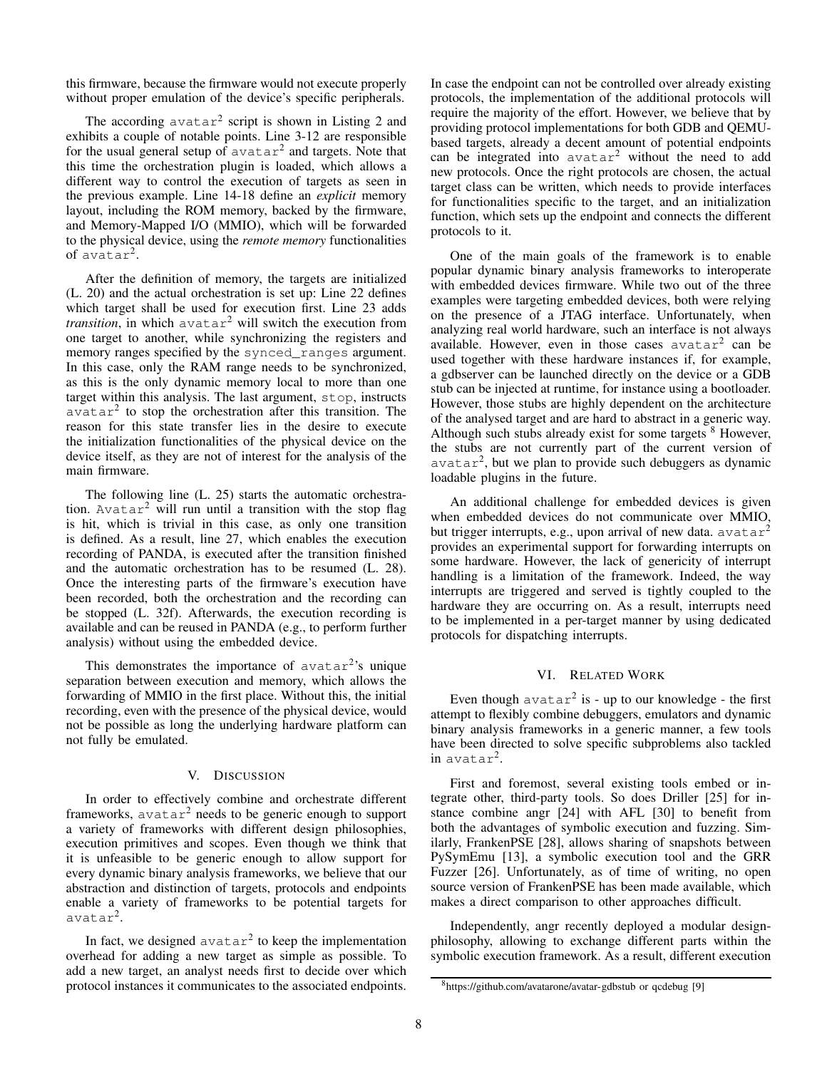this firmware, because the firmware would not execute properly without proper emulation of the device's specific peripherals.

The according  $avatar^2$  $avatar^2$  script is shown in Listing 2 and exhibits a couple of notable points. Line 3-12 are responsible for the usual general setup of  $avatar^2$  and targets. Note that this time the orchestration plugin is loaded, which allows a different way to control the execution of targets as seen in the previous example. Line 14-18 define an *explicit* memory layout, including the ROM memory, backed by the firmware, and Memory-Mapped I/O (MMIO), which will be forwarded to the physical device, using the *remote memory* functionalities of avatar<sup>2</sup> .

After the definition of memory, the targets are initialized (L. 20) and the actual orchestration is set up: Line 22 defines which target shall be used for execution first. Line 23 adds *transition*, in which  $avatar^2$  will switch the execution from one target to another, while synchronizing the registers and memory ranges specified by the synced\_ranges argument. In this case, only the RAM range needs to be synchronized, as this is the only dynamic memory local to more than one target within this analysis. The last argument, stop, instructs  $avatar<sup>2</sup>$  to stop the orchestration after this transition. The reason for this state transfer lies in the desire to execute the initialization functionalities of the physical device on the device itself, as they are not of interest for the analysis of the main firmware.

The following line (L. 25) starts the automatic orchestration. Avatar<sup>2</sup> will run until a transition with the stop flag is hit, which is trivial in this case, as only one transition is defined. As a result, line 27, which enables the execution recording of PANDA, is executed after the transition finished and the automatic orchestration has to be resumed (L. 28). Once the interesting parts of the firmware's execution have been recorded, both the orchestration and the recording can be stopped (L. 32f). Afterwards, the execution recording is available and can be reused in PANDA (e.g., to perform further analysis) without using the embedded device.

This demonstrates the importance of  $avatar<sup>2</sup>'s$  unique separation between execution and memory, which allows the forwarding of MMIO in the first place. Without this, the initial recording, even with the presence of the physical device, would not be possible as long the underlying hardware platform can not fully be emulated.

## V. DISCUSSION

<span id="page-7-0"></span>In order to effectively combine and orchestrate different frameworks,  $avatar^2$  needs to be generic enough to support a variety of frameworks with different design philosophies, execution primitives and scopes. Even though we think that it is unfeasible to be generic enough to allow support for every dynamic binary analysis frameworks, we believe that our abstraction and distinction of targets, protocols and endpoints enable a variety of frameworks to be potential targets for avatar<sup>2</sup> .

In fact, we designed  $avatar^2$  to keep the implementation overhead for adding a new target as simple as possible. To add a new target, an analyst needs first to decide over which protocol instances it communicates to the associated endpoints. In case the endpoint can not be controlled over already existing protocols, the implementation of the additional protocols will require the majority of the effort. However, we believe that by providing protocol implementations for both GDB and QEMUbased targets, already a decent amount of potential endpoints can be integrated into avatar<sup>2</sup> without the need to add new protocols. Once the right protocols are chosen, the actual target class can be written, which needs to provide interfaces for functionalities specific to the target, and an initialization function, which sets up the endpoint and connects the different protocols to it.

One of the main goals of the framework is to enable popular dynamic binary analysis frameworks to interoperate with embedded devices firmware. While two out of the three examples were targeting embedded devices, both were relying on the presence of a JTAG interface. Unfortunately, when analyzing real world hardware, such an interface is not always available. However, even in those cases avatar<sup>2</sup> can be used together with these hardware instances if, for example, a gdbserver can be launched directly on the device or a GDB stub can be injected at runtime, for instance using a bootloader. However, those stubs are highly dependent on the architecture of the analysed target and are hard to abstract in a generic way. Although such stubs already exist for some targets <sup>[8](#page-7-2)</sup> However, the stubs are not currently part of the current version of avatar<sup>2</sup> , but we plan to provide such debuggers as dynamic loadable plugins in the future.

An additional challenge for embedded devices is given when embedded devices do not communicate over MMIO, but trigger interrupts, e.g., upon arrival of new data.  $a\text{vatar}^2$ provides an experimental support for forwarding interrupts on some hardware. However, the lack of genericity of interrupt handling is a limitation of the framework. Indeed, the way interrupts are triggered and served is tightly coupled to the hardware they are occurring on. As a result, interrupts need to be implemented in a per-target manner by using dedicated protocols for dispatching interrupts.

# VI. RELATED WORK

<span id="page-7-1"></span>Even though  $\texttt{avatar}^2$  is - up to our knowledge - the first attempt to flexibly combine debuggers, emulators and dynamic binary analysis frameworks in a generic manner, a few tools have been directed to solve specific subproblems also tackled  $in$  avatar<sup>2</sup>.

First and foremost, several existing tools embed or integrate other, third-party tools. So does Driller [\[25\]](#page-9-7) for instance combine angr [\[24\]](#page-9-4) with AFL [\[30\]](#page-9-8) to benefit from both the advantages of symbolic execution and fuzzing. Similarly, FrankenPSE [\[28\]](#page-9-9), allows sharing of snapshots between PySymEmu [\[13\]](#page-8-9), a symbolic execution tool and the GRR Fuzzer [\[26\]](#page-9-10). Unfortunately, as of time of writing, no open source version of FrankenPSE has been made available, which makes a direct comparison to other approaches difficult.

Independently, angr recently deployed a modular designphilosophy, allowing to exchange different parts within the symbolic execution framework. As a result, different execution

<span id="page-7-2"></span><sup>8</sup><https://github.com/avatarone/avatar-gdbstub> or qcdebug [\[9\]](#page-8-10)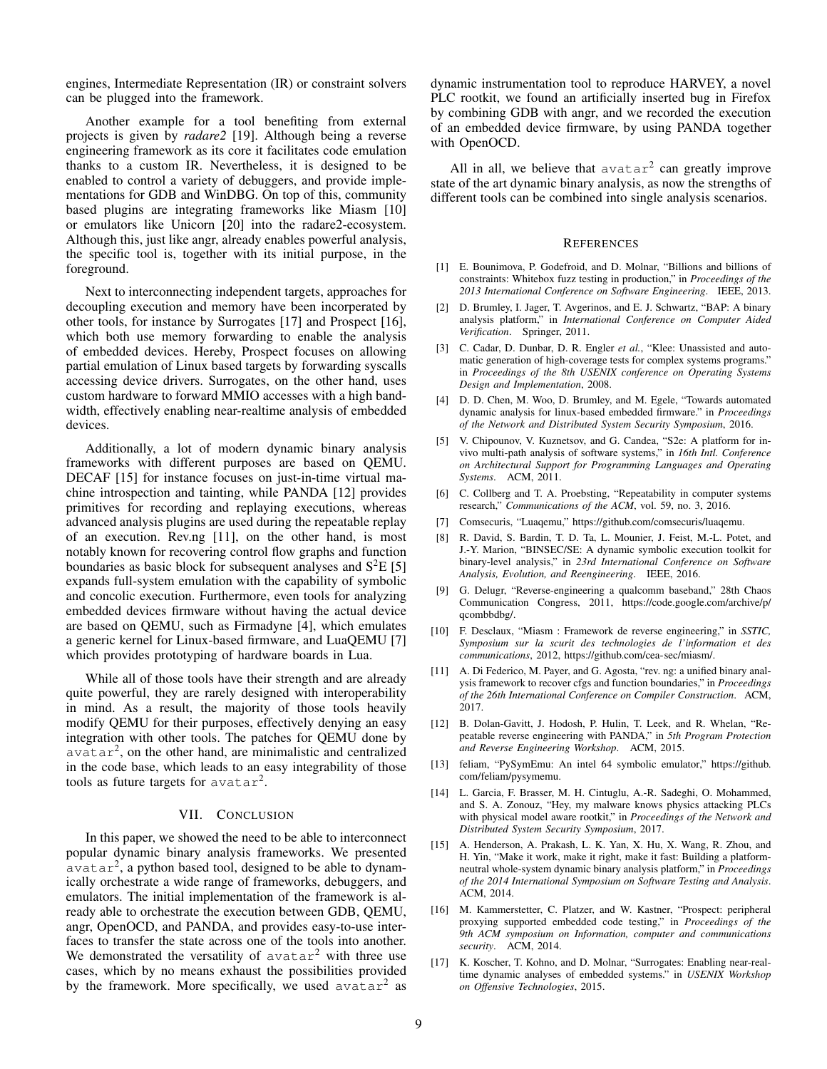engines, Intermediate Representation (IR) or constraint solvers can be plugged into the framework.

Another example for a tool benefiting from external projects is given by *radare2* [\[19\]](#page-9-11). Although being a reverse engineering framework as its core it facilitates code emulation thanks to a custom IR. Nevertheless, it is designed to be enabled to control a variety of debuggers, and provide implementations for GDB and WinDBG. On top of this, community based plugins are integrating frameworks like Miasm [\[10\]](#page-8-3) or emulators like Unicorn [\[20\]](#page-9-12) into the radare2-ecosystem. Although this, just like angr, already enables powerful analysis, the specific tool is, together with its initial purpose, in the foreground.

Next to interconnecting independent targets, approaches for decoupling execution and memory have been incorperated by other tools, for instance by Surrogates [\[17\]](#page-8-11) and Prospect [\[16\]](#page-8-12), which both use memory forwarding to enable the analysis of embedded devices. Hereby, Prospect focuses on allowing partial emulation of Linux based targets by forwarding syscalls accessing device drivers. Surrogates, on the other hand, uses custom hardware to forward MMIO accesses with a high bandwidth, effectively enabling near-realtime analysis of embedded devices.

Additionally, a lot of modern dynamic binary analysis frameworks with different purposes are based on QEMU. DECAF [\[15\]](#page-8-13) for instance focuses on just-in-time virtual machine introspection and tainting, while PANDA [\[12\]](#page-8-5) provides primitives for recording and replaying executions, whereas advanced analysis plugins are used during the repeatable replay of an execution. Rev.ng [\[11\]](#page-8-14), on the other hand, is most notably known for recovering control flow graphs and function boundaries as basic block for subsequent analyses and  $S<sup>2</sup>E$  [\[5\]](#page-8-1) expands full-system emulation with the capability of symbolic and concolic execution. Furthermore, even tools for analyzing embedded devices firmware without having the actual device are based on QEMU, such as Firmadyne [\[4\]](#page-8-15), which emulates a generic kernel for Linux-based firmware, and LuaQEMU [\[7\]](#page-8-16) which provides prototyping of hardware boards in Lua.

While all of those tools have their strength and are already quite powerful, they are rarely designed with interoperability in mind. As a result, the majority of those tools heavily modify QEMU for their purposes, effectively denying an easy integration with other tools. The patches for QEMU done by  $a$ vatar<sup>2</sup>, on the other hand, are minimalistic and centralized in the code base, which leads to an easy integrability of those tools as future targets for  $avatar^2$ .

#### VII. CONCLUSION

In this paper, we showed the need to be able to interconnect popular dynamic binary analysis frameworks. We presented  $a$ vatar<sup>2</sup>, a python based tool, designed to be able to dynamically orchestrate a wide range of frameworks, debuggers, and emulators. The initial implementation of the framework is already able to orchestrate the execution between GDB, QEMU, angr, OpenOCD, and PANDA, and provides easy-to-use interfaces to transfer the state across one of the tools into another. We demonstrated the versatility of  $avatar^2$  with three use cases, which by no means exhaust the possibilities provided by the framework. More specifically, we used  $a\text{vatar}^2$  as

dynamic instrumentation tool to reproduce HARVEY, a novel PLC rootkit, we found an artificially inserted bug in Firefox by combining GDB with angr, and we recorded the execution of an embedded device firmware, by using PANDA together with OpenOCD.

All in all, we believe that  $avatar^2$  can greatly improve state of the art dynamic binary analysis, as now the strengths of different tools can be combined into single analysis scenarios.

### **REFERENCES**

- <span id="page-8-0"></span>[1] E. Bounimova, P. Godefroid, and D. Molnar, "Billions and billions of constraints: Whitebox fuzz testing in production," in *Proceedings of the 2013 International Conference on Software Engineering*. IEEE, 2013.
- <span id="page-8-2"></span>[2] D. Brumley, I. Jager, T. Avgerinos, and E. J. Schwartz, "BAP: A binary analysis platform," in *International Conference on Computer Aided Verification*. Springer, 2011.
- <span id="page-8-8"></span>[3] C. Cadar, D. Dunbar, D. R. Engler *et al.*, "Klee: Unassisted and automatic generation of high-coverage tests for complex systems programs." in *Proceedings of the 8th USENIX conference on Operating Systems Design and Implementation*, 2008.
- <span id="page-8-15"></span>[4] D. D. Chen, M. Woo, D. Brumley, and M. Egele, "Towards automated dynamic analysis for linux-based embedded firmware." in *Proceedings of the Network and Distributed System Security Symposium*, 2016.
- <span id="page-8-1"></span>[5] V. Chipounov, V. Kuznetsov, and G. Candea, "S2e: A platform for invivo multi-path analysis of software systems," in *16th Intl. Conference on Architectural Support for Programming Languages and Operating Systems*. ACM, 2011.
- <span id="page-8-6"></span>[6] C. Collberg and T. A. Proebsting, "Repeatability in computer systems research," *Communications of the ACM*, vol. 59, no. 3, 2016.
- <span id="page-8-16"></span>[7] Comsecuris, "Luaqemu," [https://github.com/comsecuris/luaqemu.](https://github.com/comsecuris/luaqemu)
- <span id="page-8-4"></span>[8] R. David, S. Bardin, T. D. Ta, L. Mounier, J. Feist, M.-L. Potet, and J.-Y. Marion, "BINSEC/SE: A dynamic symbolic execution toolkit for binary-level analysis," in *23rd International Conference on Software Analysis, Evolution, and Reengineering*. IEEE, 2016.
- <span id="page-8-10"></span>[9] G. Delugr, "Reverse-engineering a qualcomm baseband," 28th Chaos Communication Congress, 2011, [https://code.google.com/archive/p/](https://code.google.com/archive/p/qcombbdbg/) [qcombbdbg/.](https://code.google.com/archive/p/qcombbdbg/)
- <span id="page-8-3"></span>[10] F. Desclaux, "Miasm : Framework de reverse engineering," in *SSTIC, Symposium sur la scurit des technologies de l'information et des communications*, 2012, [https://github.com/cea-sec/miasm/.](https://github.com/cea-sec/miasm/)
- <span id="page-8-14"></span>[11] A. Di Federico, M. Payer, and G. Agosta, "rev. ng: a unified binary analysis framework to recover cfgs and function boundaries," in *Proceedings of the 26th International Conference on Compiler Construction*. ACM, 2017.
- <span id="page-8-5"></span>[12] B. Dolan-Gavitt, J. Hodosh, P. Hulin, T. Leek, and R. Whelan, "Repeatable reverse engineering with PANDA," in *5th Program Protection and Reverse Engineering Workshop*. ACM, 2015.
- <span id="page-8-9"></span>[13] feliam, "PySymEmu: An intel 64 symbolic emulator," [https://github.](https://github.com/feliam/pysymemu) [com/feliam/pysymemu.](https://github.com/feliam/pysymemu)
- <span id="page-8-7"></span>[14] L. Garcia, F. Brasser, M. H. Cintuglu, A.-R. Sadeghi, O. Mohammed, and S. A. Zonouz, "Hey, my malware knows physics attacking PLCs with physical model aware rootkit," in *Proceedings of the Network and Distributed System Security Symposium*, 2017.
- <span id="page-8-13"></span>[15] A. Henderson, A. Prakash, L. K. Yan, X. Hu, X. Wang, R. Zhou, and H. Yin, "Make it work, make it right, make it fast: Building a platformneutral whole-system dynamic binary analysis platform," in *Proceedings of the 2014 International Symposium on Software Testing and Analysis*. ACM, 2014.
- <span id="page-8-12"></span>[16] M. Kammerstetter, C. Platzer, and W. Kastner, "Prospect: peripheral proxying supported embedded code testing," in *Proceedings of the 9th ACM symposium on Information, computer and communications security*. ACM, 2014.
- <span id="page-8-11"></span>[17] K. Koscher, T. Kohno, and D. Molnar, "Surrogates: Enabling near-realtime dynamic analyses of embedded systems." in *USENIX Workshop on Offensive Technologies*, 2015.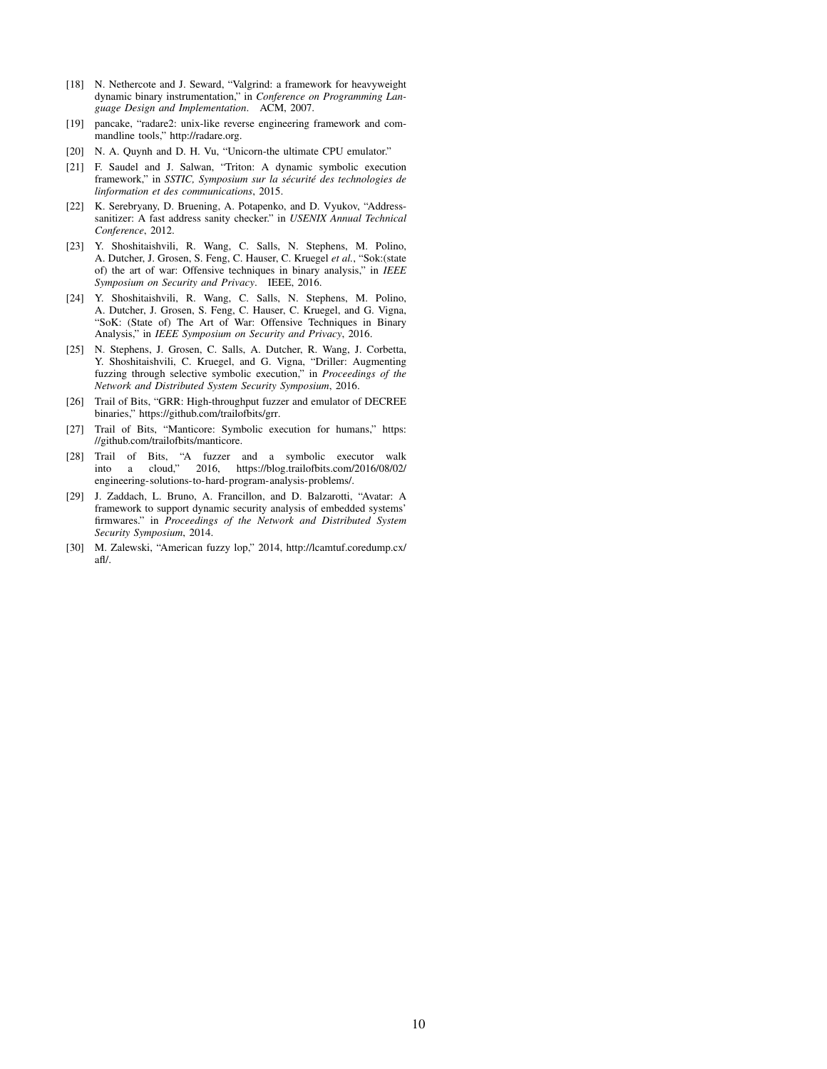- <span id="page-9-2"></span>[18] N. Nethercote and J. Seward, "Valgrind: a framework for heavyweight dynamic binary instrumentation," in *Conference on Programming Language Design and Implementation*. ACM, 2007.
- <span id="page-9-11"></span>[19] pancake, "radare2: unix-like reverse engineering framework and commandline tools," [http://radare.org.](http://radare.org)
- <span id="page-9-12"></span>[20] N. A. Quynh and D. H. Vu, "Unicorn-the ultimate CPU emulator."
- <span id="page-9-6"></span>[21] F. Saudel and J. Salwan, "Triton: A dynamic symbolic execution framework," in *SSTIC*, *Symposium sur la sécurité des technologies de linformation et des communications*, 2015.
- <span id="page-9-3"></span>[22] K. Serebryany, D. Bruening, A. Potapenko, and D. Vyukov, "Addresssanitizer: A fast address sanity checker." in *USENIX Annual Technical Conference*, 2012.
- <span id="page-9-0"></span>[23] Y. Shoshitaishvili, R. Wang, C. Salls, N. Stephens, M. Polino, A. Dutcher, J. Grosen, S. Feng, C. Hauser, C. Kruegel *et al.*, "Sok:(state of) the art of war: Offensive techniques in binary analysis," in *IEEE Symposium on Security and Privacy*. IEEE, 2016.
- <span id="page-9-4"></span>[24] Y. Shoshitaishvili, R. Wang, C. Salls, N. Stephens, M. Polino, A. Dutcher, J. Grosen, S. Feng, C. Hauser, C. Kruegel, and G. Vigna, "SoK: (State of) The Art of War: Offensive Techniques in Binary Analysis," in *IEEE Symposium on Security and Privacy*, 2016.
- <span id="page-9-7"></span>[25] N. Stephens, J. Grosen, C. Salls, A. Dutcher, R. Wang, J. Corbetta, Y. Shoshitaishvili, C. Kruegel, and G. Vigna, "Driller: Augmenting fuzzing through selective symbolic execution," in *Proceedings of the Network and Distributed System Security Symposium*, 2016.
- <span id="page-9-10"></span>[26] Trail of Bits, "GRR: High-throughput fuzzer and emulator of DECREE binaries," [https://github.com/trailofbits/grr.](https://github.com/trailofbits/grr)
- <span id="page-9-5"></span>[27] Trail of Bits, "Manticore: Symbolic execution for humans," [https:](https://github.com/trailofbits/manticore) [//github.com/trailofbits/manticore.](https://github.com/trailofbits/manticore)
- <span id="page-9-9"></span>[28] Trail of Bits, "A fuzzer and a symbolic executor walk into a cloud," 2016, [https://blog.trailofbits.com/2016/08/02/](https://blog.trailofbits.com/2016/08/02/engineering-solutions-to-hard-program-analysis-problems/) [engineering-solutions-to-hard-program-analysis-problems/.](https://blog.trailofbits.com/2016/08/02/engineering-solutions-to-hard-program-analysis-problems/)
- <span id="page-9-1"></span>[29] J. Zaddach, L. Bruno, A. Francillon, and D. Balzarotti, "Avatar: A framework to support dynamic security analysis of embedded systems' firmwares." in *Proceedings of the Network and Distributed System Security Symposium*, 2014.
- <span id="page-9-8"></span>[30] M. Zalewski, "American fuzzy lop," 2014, [http://lcamtuf.coredump.cx/](http://lcamtuf.coredump.cx/afl/) [afl/.](http://lcamtuf.coredump.cx/afl/)